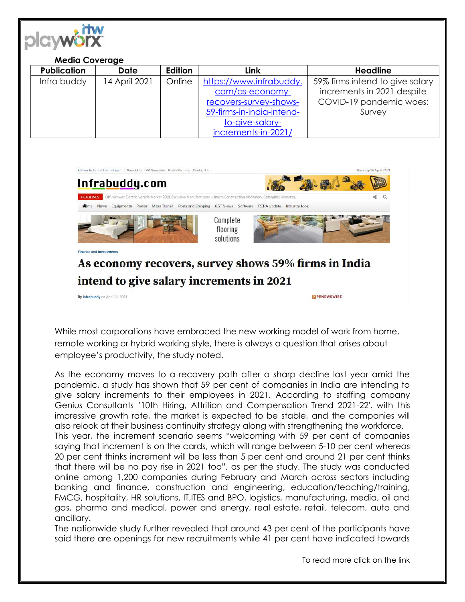

## **Media Coverage Publication Date Edition Link Headline** Infra buddy | 14 April 2021 | Online | [https://www.infrabuddy.](https://www.infrabuddy.com/as-economy-recovers-survey-shows-59-firms-in-india-intend-to-give-salary-increments-in-2021/) [com/as-economy](https://www.infrabuddy.com/as-economy-recovers-survey-shows-59-firms-in-india-intend-to-give-salary-increments-in-2021/)[recovers-survey-shows-](https://www.infrabuddy.com/as-economy-recovers-survey-shows-59-firms-in-india-intend-to-give-salary-increments-in-2021/)[59-firms-in-india-intend](https://www.infrabuddy.com/as-economy-recovers-survey-shows-59-firms-in-india-intend-to-give-salary-increments-in-2021/)[to-give-salary](https://www.infrabuddy.com/as-economy-recovers-survey-shows-59-firms-in-india-intend-to-give-salary-increments-in-2021/)[increments-in-2021/](https://www.infrabuddy.com/as-economy-recovers-survey-shows-59-firms-in-india-intend-to-give-salary-increments-in-2021/) 59% firms intend to give salary increments in 2021 despite COVID-19 pandemic woes: Survey



While most corporations have embraced the new working model of work from home, remote working or hybrid working style, there is always a question that arises about employee's productivity, the study noted.

As the economy moves to a recovery path after a sharp decline last year amid the pandemic, a study has shown that 59 per cent of companies in India are intending to give salary increments to their employees in 2021. According to staffing company Genius Consultants '10th Hiring, Attrition and Compensation Trend 2021-22′, with this impressive growth rate, the market is expected to be stable, and the companies will also relook at their business continuity strategy along with strengthening the workforce. This year, the increment scenario seems "welcoming with 59 per cent of companies saying that increment is on the cards, which will range between 5-10 per cent whereas 20 per cent thinks increment will be less than 5 per cent and around 21 per cent thinks that there will be no pay rise in 2021 too", as per the study. The study was conducted online among 1,200 companies during February and March across sectors including banking and finance, construction and engineering, education/teaching/training, FMCG, hospitality, HR solutions, IT,ITES and BPO, logistics, manufacturing, media, oil and gas, pharma and medical, power and energy, real estate, retail, telecom, auto and ancillary.

The nationwide study further revealed that around 43 per cent of the participants have said there are openings for new recruitments while 41 per cent have indicated towards

To read more click on the link